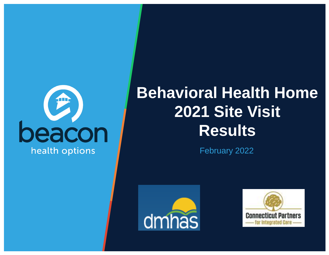

## **Behavioral Health Home 2021 Site Visit Results**

February 2022



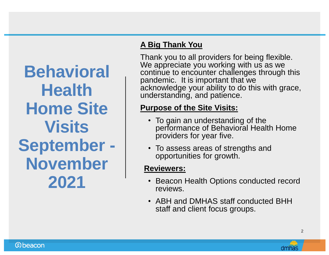**Behavioral Health Home Site Visits September - November 2021**

#### **A Big Thank You**

Thank you to all providers for being flexible. We appreciate you working with us as we continue to encounter challenges through this pandemic. It is important that we acknowledge your ability to do this with grace, understanding, and patience.

#### **Purpose of the Site Visits:**

- To gain an understanding of the performance of Behavioral Health Home providers for year five.
- To assess areas of strengths and opportunities for growth.

#### **Reviewers:**

- Beacon Health Options conducted record reviews.
- ABH and DMHAS staff conducted BHH staff and client focus groups.

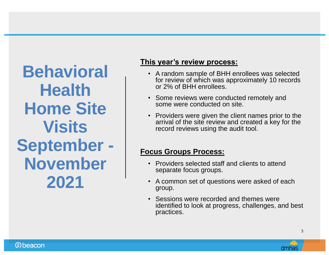**Behavioral Health Home Site Visits September - November 2021**

#### **This year's review process:**

- A random sample of BHH enrollees was selected for review of which was approximately 10 records or 2% of BHH enrollees.
- Some reviews were conducted remotely and some were conducted on site.
- Providers were given the client names prior to the arrival of the site review and created a key for the record reviews using the audit tool.

#### **Focus Groups Process:**

- Providers selected staff and clients to attend separate focus groups.
- A common set of questions were asked of each group.
- Sessions were recorded and themes were identified to look at progress, challenges, and best practices.

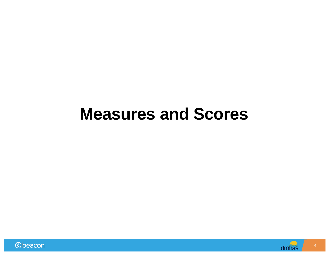## **Measures and Scores**



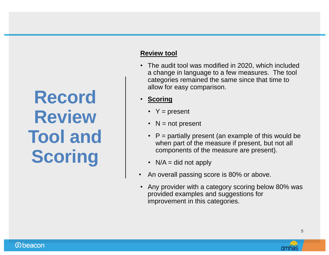# **Record Review Tool and Scoring**

#### **Review tool**

- The audit tool was modified in 2020, which included a change in language to a few measures. The tool categories remained the same since that time to allow for easy comparison.
- **Scoring**
	- $Y = present$
	- $N = not present$
	- $\cdot$  P = partially present (an example of this would be when part of the measure if present, but not all components of the measure are present).
	- $N/A =$  did not apply
- An overall passing score is 80% or above.
- Any provider with a category scoring below 80% was provided examples and suggestions for improvement in this categories.

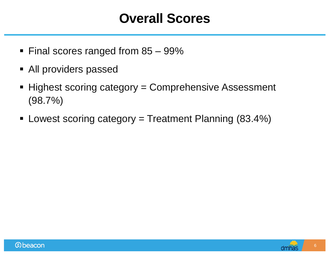### **Overall Scores**

- Final scores ranged from 85 99%
- All providers passed
- Highest scoring category = Comprehensive Assessment (98.7%)
- Lowest scoring category = Treatment Planning (83.4%)

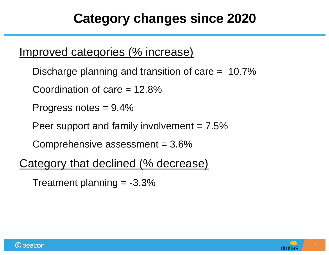## **Category changes since 2020**

#### Improved categories (% increase)

Discharge planning and transition of care = 10.7%

Coordination of care = 12.8%

Progress notes = 9.4%

Peer support and family involvement  $= 7.5\%$ 

Comprehensive assessment  $= 3.6\%$ 

#### Category that declined (% decrease)

Treatment planning  $= -3.3\%$ 



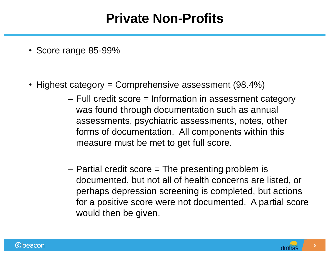## **Private Non-Profits**

- Score range 85-99%
- Highest category = Comprehensive assessment (98.4%)
	- Full credit score = Information in assessment category was found through documentation such as annual assessments, psychiatric assessments, notes, other forms of documentation. All components within this measure must be met to get full score.
	- Partial credit score = The presenting problem is documented, but not all of health concerns are listed, or perhaps depression screening is completed, but actions for a positive score were not documented. A partial score would then be given.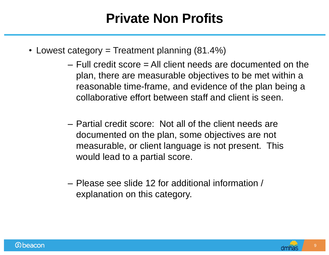## **Private Non Profits**

- Lowest category = Treatment planning  $(81.4\%)$ 
	- Full credit score = All client needs are documented on the plan, there are measurable objectives to be met within a reasonable time-frame, and evidence of the plan being a collaborative effort between staff and client is seen.
	- Partial credit score: Not all of the client needs are documented on the plan, some objectives are not measurable, or client language is not present. This would lead to a partial score.
	- Please see slide 12 for additional information / explanation on this category.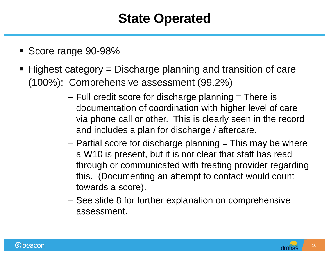## **State Operated**

- Score range 90-98%
- Highest category = Discharge planning and transition of care (100%); Comprehensive assessment (99.2%)
	- $-$  Full credit score for discharge planning  $=$  There is documentation of coordination with higher level of care via phone call or other. This is clearly seen in the record and includes a plan for discharge / aftercare.
	- $-$  Partial score for discharge planning  $=$  This may be where a W10 is present, but it is not clear that staff has read through or communicated with treating provider regarding this. (Documenting an attempt to contact would count towards a score).
	- See slide 8 for further explanation on comprehensive assessment.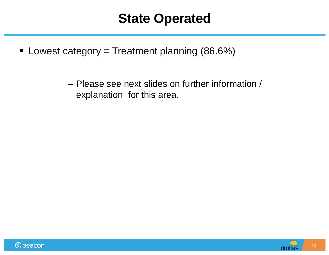#### **State Operated**

U Lowest category = Treatment planning  $(86.6\%)$ 

– Please see next slides on further information / explanation for this area.

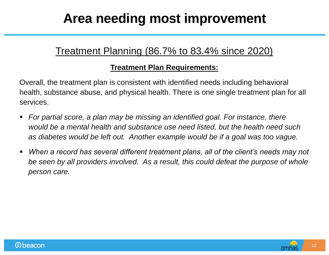## **Area needing most improvement**

#### Treatment Planning (86.7% to 83.4% since 2020)

#### **Treatment Plan Requirements:**

Overall, the treatment plan is consistent with identified needs including behavioral health, substance abuse, and physical health. There is one single treatment plan for all services.

- *For partial score, a plan may be missing an identified goal. For instance, there would be a mental health and substance use need listed, but the health need such as diabetes would be left out. Another example would be if a goal was too vague.*
- **When a record has several different treatment plans, all of the client's needs may not** *be seen by all providers involved. As a result, this could defeat the purpose of whole person care.*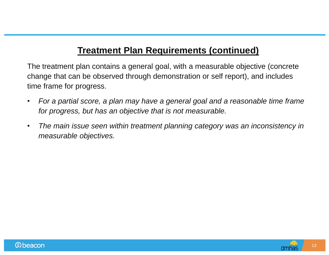#### **Treatment Plan Requirements (continued)**

The treatment plan contains a general goal, with a measurable objective (concrete change that can be observed through demonstration or self report), and includes time frame for progress.

- *For a partial score, a plan may have a general goal and a reasonable time frame for progress, but has an objective that is not measurable.*
- *The main issue seen within treatment planning category was an inconsistency in measurable objectives.*



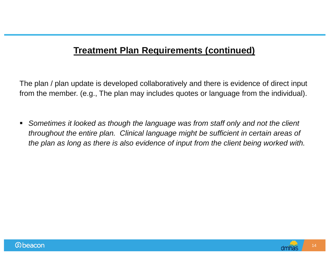#### **Treatment Plan Requirements (continued)**

The plan / plan update is developed collaboratively and there is evidence of direct input from the member. (e.g., The plan may includes quotes or language from the individual).

**Sometimes it looked as though the language was from staff only and not the client** *throughout the entire plan. Clinical language might be sufficient in certain areas of the plan as long as there is also evidence of input from the client being worked with.*

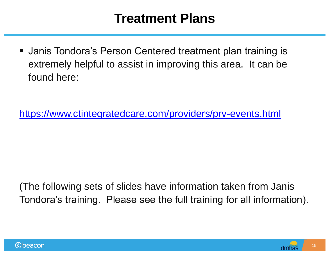### **Treatment Plans**

 Janis Tondora's Person Centered treatment plan training is extremely helpful to assist in improving this area. It can be found here:

<https://www.ctintegratedcare.com/providers/prv-events.html>

(The following sets of slides have information taken from Janis Tondora's training. Please see the full training for all information).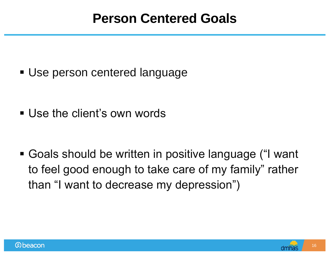Use person centered language

Use the client's own words

 Goals should be written in positive language ("I want to feel good enough to take care of my family" rather than "I want to decrease my depression")

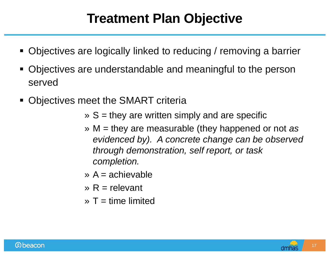## **Treatment Plan Objective**

- Objectives are logically linked to reducing / removing a barrier
- Objectives are understandable and meaningful to the person served
- Objectives meet the SMART criteria
	- $\triangleright$  S = they are written simply and are specific
	- » M = they are measurable (they happened or not *as evidenced by). A concrete change can be observed through demonstration, self report, or task completion.*
	- $\triangleright$  A = achievable
	- $\mathcal{R}$  = relevant
	- $\triangleright$  T = time limited

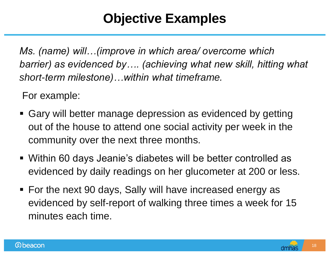## **Objective Examples**

*Ms. (name) will…(improve in which area/ overcome which barrier) as evidenced by…. (achieving what new skill, hitting what short-term milestone)…within what timeframe.*

For example:

- Gary will better manage depression as evidenced by getting out of the house to attend one social activity per week in the community over the next three months.
- Within 60 days Jeanie's diabetes will be better controlled as evidenced by daily readings on her glucometer at 200 or less.
- For the next 90 days, Sally will have increased energy as evidenced by self-report of walking three times a week for 15 minutes each time.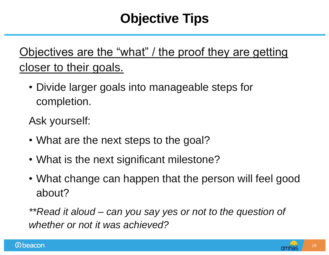## **Objective Tips**

## Objectives are the "what" / the proof they are getting closer to their goals.

• Divide larger goals into manageable steps for completion.

Ask yourself:

- What are the next steps to the goal?
- What is the next significant milestone?
- What change can happen that the person will feel good about?

*\*\*Read it aloud – can you say yes or not to the question of whether or not it was achieved?*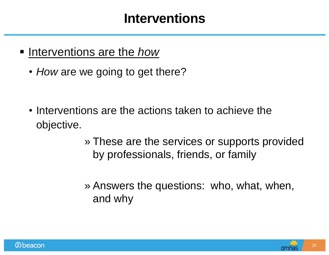#### **Interventions**

- **Interventions are the** *how* 
	- *How* are we going to get there?

- Interventions are the actions taken to achieve the objective.
	- » These are the services or supports provided by professionals, friends, or family
	- » Answers the questions: who, what, when, and why

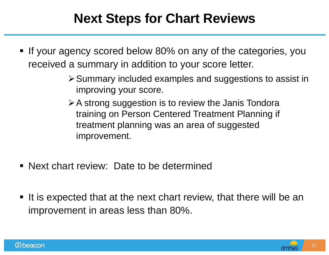## **Next Steps for Chart Reviews**

- If your agency scored below 80% on any of the categories, you received a summary in addition to your score letter.
	- $\triangleright$  Summary included examples and suggestions to assist in improving your score.
	- $\triangleright$  A strong suggestion is to review the Janis Tondora training on Person Centered Treatment Planning if treatment planning was an area of suggested improvement.
- Next chart review: Date to be determined
- $\blacksquare$  It is expected that at the next chart review, that there will be an improvement in areas less than 80%.